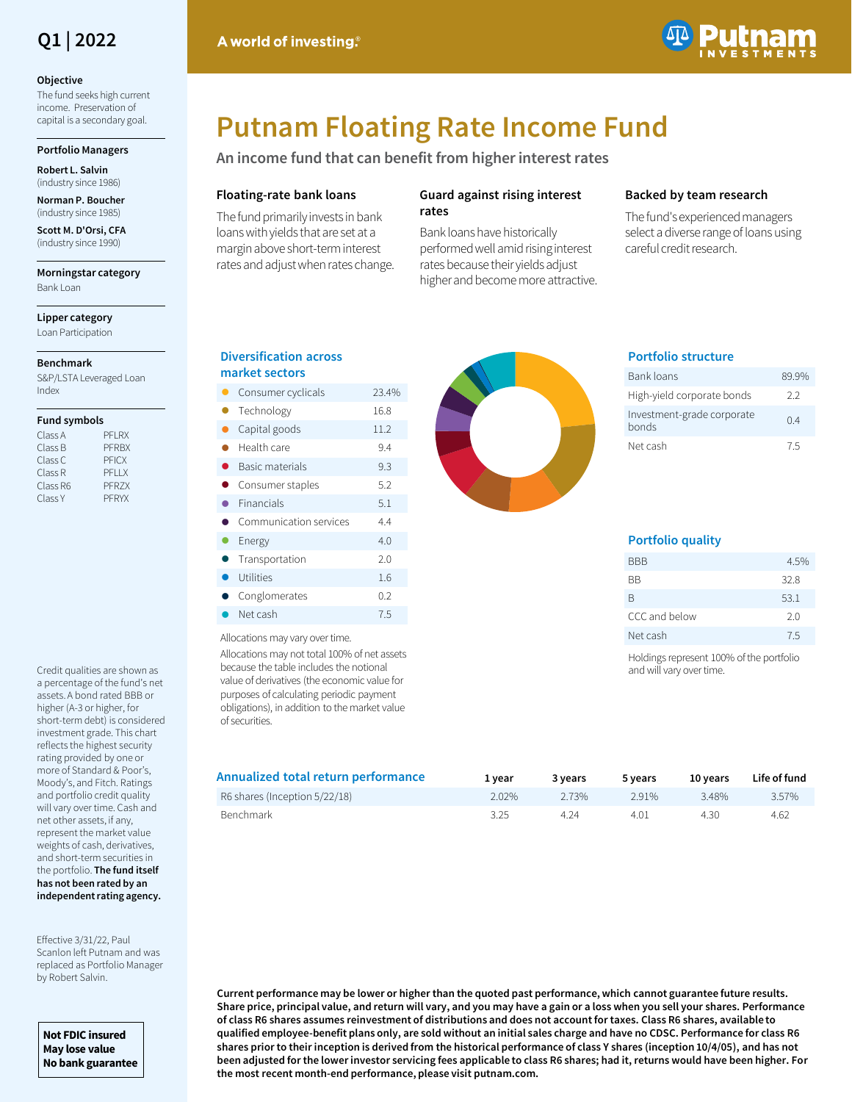# **Q1 | 2022**

#### **Objective**

The fund seeks high current income. Preservation of capital is a secondary goal.

### **Portfolio Managers**

**Robert L. Salvin**  (industry since 1986)

**Norman P. Boucher**  (industry since 1985)

**Scott M. D'Orsi, CFA**  (industry since 1990)

**Morningstar category** Bank Loan

**Lipper category** Loan Participation

## **Benchmark**

S&P/LSTA Leveraged Loan Index

#### **Fund symbols**

| Class A  | PFI RX       |
|----------|--------------|
| Class B  | <b>PFRBX</b> |
| Class C  | <b>PFICX</b> |
| Class R  | PFI IX       |
| Class R6 | PFR7X        |
| Class Y  | PFRYX        |

Credit qualities are shown as a percentage of the fund's net assets. A bond rated BBB or higher (A-3 or higher, for short-term debt) is considered investment grade. This chart reflects the highest security rating provided by one or more of Standard & Poor's, Moody's, and Fitch. Ratings and portfolio credit quality will vary over time. Cash and net other assets, if any, represent the market value weights of cash, derivatives, and short-term securities in the portfolio. **The fund itself has not been rated by an independent rating agency.** 

Effective 3/31/22, Paul Scanlon left Putnam and was replaced as Portfolio Manager by Robert Salvin.

**Not FDIC insured May lose value No bank guarantee**

# **Putnam Floating Rate Income Fund**

**An income fund that can benefit from higher interest rates**

# **Floating-rate bank loans**

A world of investing.

The fund primarily invests in bank loans with yields that are set at a margin above short-term interest rates and adjust when rates change.

# **Guard against rising interest rates**

Bank loans have historically performed well amid rising interest rates because their yields adjust higher and become more attractive.

# **Backed by team research**

The fund's experienced managers select a diverse range of loans using careful credit research.



|   | Consumer cyclicals     | 23.4% |
|---|------------------------|-------|
| A | Technology             | 16.8  |
| O | Capital goods          | 11.2  |
|   | Health care            | 9.4   |
| ● | Basic materials        | 9.3   |
|   | Consumer staples       | 5.2   |
|   | Financials             | 5.1   |
|   | Communication services | 4.4   |
|   | Energy                 | 4.0   |
| 0 | Transportation         | 2.0   |
|   | Utilities              | 1.6   |
|   | Conglomerates          | 0.2   |
|   | Net cash               | 7.5   |

Allocations may vary over time.

Allocations may not total 100% of net assets because the table includes the notional value of derivatives (the economic value for purposes of calculating periodic payment obligations), in addition to the market value of securities.

| Annualized total return performance | 1 vear | 3 years | 5 years | 10 vears | Life of fund |
|-------------------------------------|--------|---------|---------|----------|--------------|
| R6 shares (Inception 5/22/18)       | 2.02%  | 2 73%   | 291%    | 348%     | 3.57%        |
| Benchmark                           | 3.25   | 4.24    | 4.01    | 4.30     | 4.62         |

**Current performance may be lower or higher than the quoted past performance, which cannot guarantee future results. Share price, principal value, and return will vary, and you may have a gain or a loss when you sell your shares. Performance of class R6 shares assumes reinvestment of distributions and does not account for taxes. Class R6 shares, available to qualified employee-benefit plans only, are sold without an initial sales charge and have no CDSC. Performance for class R6 shares prior to their inception is derived from the historical performance of class Y shares (inception 10/4/05), and has not been adjusted for the lower investor servicing fees applicable to class R6 shares; had it, returns would have been higher. For the most recent month-end performance, please visit putnam.com.** 



# **Portfolio structure**

| Bank loans                          | 89.9% |
|-------------------------------------|-------|
| High-yield corporate bonds          | 22    |
| Investment-grade corporate<br>bonds | 04    |
| Net cash                            | 75    |

# **Portfolio quality**

| <b>BBB</b>    | 4.5% |
|---------------|------|
| ВB            | 32.8 |
| R             | 53.1 |
| CCC and below | 2.0  |
| Net cash      | 7.5  |
|               |      |

Holdings represent 100% of the portfolio and will vary over time.